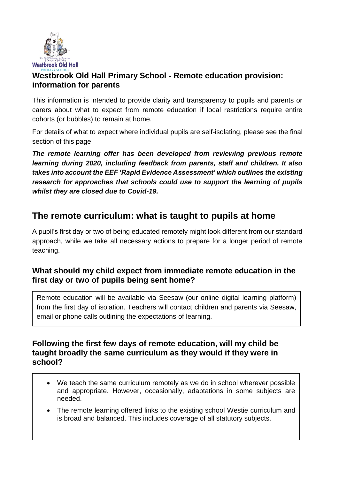

## **Westbrook Old Hall Primary School - Remote education provision: information for parents**

This information is intended to provide clarity and transparency to pupils and parents or carers about what to expect from remote education if local restrictions require entire cohorts (or bubbles) to remain at home.

For details of what to expect where individual pupils are self-isolating, please see the final section of this page.

*The remote learning offer has been developed from reviewing previous remote learning during 2020, including feedback from parents, staff and children. It also takes into account the EEF 'Rapid Evidence Assessment' which outlines the existing research for approaches that schools could use to support the learning of pupils whilst they are closed due to Covid-19.* 

## **The remote curriculum: what is taught to pupils at home**

A pupil's first day or two of being educated remotely might look different from our standard approach, while we take all necessary actions to prepare for a longer period of remote teaching.

## **What should my child expect from immediate remote education in the first day or two of pupils being sent home?**

Remote education will be available via Seesaw (our online digital learning platform) from the first day of isolation. Teachers will contact children and parents via Seesaw, email or phone calls outlining the expectations of learning.

#### **Following the first few days of remote education, will my child be taught broadly the same curriculum as they would if they were in school?**

- We teach the same curriculum remotely as we do in school wherever possible and appropriate. However, occasionally, adaptations in some subjects are needed.
- The remote learning offered links to the existing school Westie curriculum and is broad and balanced. This includes coverage of all statutory subjects.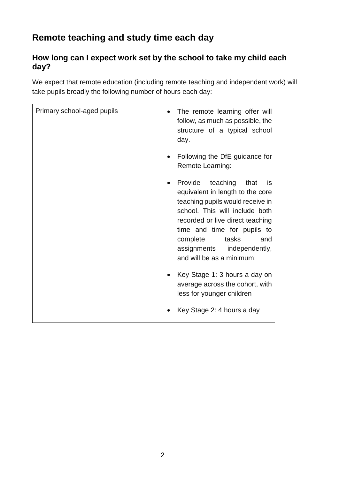# **Remote teaching and study time each day**

## **How long can I expect work set by the school to take my child each day?**

We expect that remote education (including remote teaching and independent work) will take pupils broadly the following number of hours each day:

| Primary school-aged pupils | The remote learning offer will<br>follow, as much as possible, the<br>structure of a typical school<br>day.                                                                                                                                                                                           |
|----------------------------|-------------------------------------------------------------------------------------------------------------------------------------------------------------------------------------------------------------------------------------------------------------------------------------------------------|
|                            | Following the DfE guidance for<br>Remote Learning:                                                                                                                                                                                                                                                    |
|                            | Provide<br>teaching<br>that<br>is<br>equivalent in length to the core<br>teaching pupils would receive in<br>school. This will include both<br>recorded or live direct teaching<br>time and time for pupils to<br>tasks<br>complete<br>and<br>assignments independently,<br>and will be as a minimum: |
|                            | Key Stage 1: 3 hours a day on<br>average across the cohort, with<br>less for younger children                                                                                                                                                                                                         |
|                            | Key Stage 2: 4 hours a day                                                                                                                                                                                                                                                                            |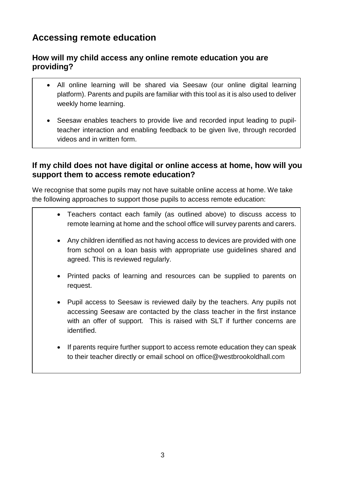## **Accessing remote education**

## **How will my child access any online remote education you are providing?**

- All online learning will be shared via Seesaw (our online digital learning platform). Parents and pupils are familiar with this tool as it is also used to deliver weekly home learning.
- Seesaw enables teachers to provide live and recorded input leading to pupilteacher interaction and enabling feedback to be given live, through recorded videos and in written form.

## **If my child does not have digital or online access at home, how will you support them to access remote education?**

We recognise that some pupils may not have suitable online access at home. We take the following approaches to support those pupils to access remote education:

- Teachers contact each family (as outlined above) to discuss access to remote learning at home and the school office will survey parents and carers.
- Any children identified as not having access to devices are provided with one from school on a loan basis with appropriate use guidelines shared and agreed. This is reviewed regularly.
- Printed packs of learning and resources can be supplied to parents on request.
- Pupil access to Seesaw is reviewed daily by the teachers. Any pupils not accessing Seesaw are contacted by the class teacher in the first instance with an offer of support. This is raised with SLT if further concerns are identified.
- If parents require further support to access remote education they can speak to their teacher directly or email school on office@westbrookoldhall.com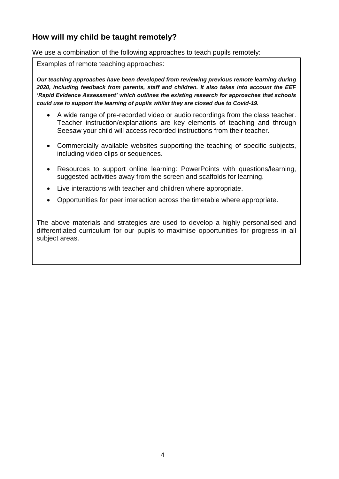## **How will my child be taught remotely?**

We use a combination of the following approaches to teach pupils remotely:

Examples of remote teaching approaches:

*Our teaching approaches have been developed from reviewing previous remote learning during 2020, including feedback from parents, staff and children. It also takes into account the EEF 'Rapid Evidence Assessment' which outlines the existing research for approaches that schools could use to support the learning of pupils whilst they are closed due to Covid-19.* 

- A wide range of pre-recorded video or audio recordings from the class teacher. Teacher instruction/explanations are key elements of teaching and through Seesaw your child will access recorded instructions from their teacher.
- Commercially available websites supporting the teaching of specific subjects, including video clips or sequences.
- Resources to support online learning: PowerPoints with questions/learning, suggested activities away from the screen and scaffolds for learning.
- Live interactions with teacher and children where appropriate.
- Opportunities for peer interaction across the timetable where appropriate.

The above materials and strategies are used to develop a highly personalised and differentiated curriculum for our pupils to maximise opportunities for progress in all subject areas.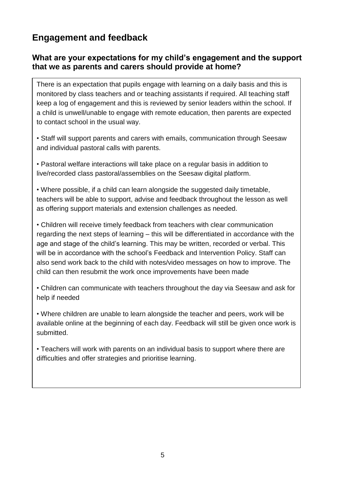# **Engagement and feedback**

#### **What are your expectations for my child's engagement and the support that we as parents and carers should provide at home?**

There is an expectation that pupils engage with learning on a daily basis and this is monitored by class teachers and or teaching assistants if required. All teaching staff keep a log of engagement and this is reviewed by senior leaders within the school. If a child is unwell/unable to engage with remote education, then parents are expected to contact school in the usual way.

• Staff will support parents and carers with emails, communication through Seesaw and individual pastoral calls with parents.

• Pastoral welfare interactions will take place on a regular basis in addition to live/recorded class pastoral/assemblies on the Seesaw digital platform.

• Where possible, if a child can learn alongside the suggested daily timetable, teachers will be able to support, advise and feedback throughout the lesson as well as offering support materials and extension challenges as needed.

• Children will receive timely feedback from teachers with clear communication regarding the next steps of learning – this will be differentiated in accordance with the age and stage of the child's learning. This may be written, recorded or verbal. This will be in accordance with the school's Feedback and Intervention Policy. Staff can also send work back to the child with notes/video messages on how to improve. The child can then resubmit the work once improvements have been made

• Children can communicate with teachers throughout the day via Seesaw and ask for help if needed

• Where children are unable to learn alongside the teacher and peers, work will be available online at the beginning of each day. Feedback will still be given once work is submitted.

• Teachers will work with parents on an individual basis to support where there are difficulties and offer strategies and prioritise learning.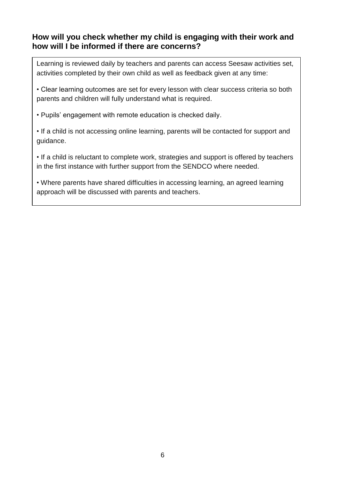## **How will you check whether my child is engaging with their work and how will I be informed if there are concerns?**

Learning is reviewed daily by teachers and parents can access Seesaw activities set, activities completed by their own child as well as feedback given at any time:

• Clear learning outcomes are set for every lesson with clear success criteria so both parents and children will fully understand what is required.

• Pupils' engagement with remote education is checked daily.

• If a child is not accessing online learning, parents will be contacted for support and guidance.

• If a child is reluctant to complete work, strategies and support is offered by teachers in the first instance with further support from the SENDCO where needed.

• Where parents have shared difficulties in accessing learning, an agreed learning approach will be discussed with parents and teachers.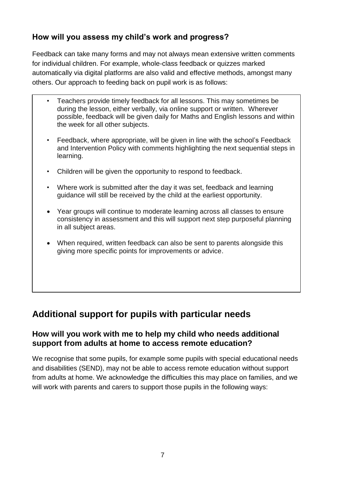## **How will you assess my child's work and progress?**

Feedback can take many forms and may not always mean extensive written comments for individual children. For example, whole-class feedback or quizzes marked automatically via digital platforms are also valid and effective methods, amongst many others. Our approach to feeding back on pupil work is as follows:

- Teachers provide timely feedback for all lessons. This may sometimes be during the lesson, either verbally, via online support or written. Wherever possible, feedback will be given daily for Maths and English lessons and within the week for all other subjects.
- Feedback, where appropriate, will be given in line with the school's Feedback and Intervention Policy with comments highlighting the next sequential steps in learning.
- Children will be given the opportunity to respond to feedback.
- Where work is submitted after the day it was set, feedback and learning guidance will still be received by the child at the earliest opportunity.
- Year groups will continue to moderate learning across all classes to ensure consistency in assessment and this will support next step purposeful planning in all subject areas.
- When required, written feedback can also be sent to parents alongside this giving more specific points for improvements or advice.

## **Additional support for pupils with particular needs**

#### **How will you work with me to help my child who needs additional support from adults at home to access remote education?**

We recognise that some pupils, for example some pupils with special educational needs and disabilities (SEND), may not be able to access remote education without support from adults at home. We acknowledge the difficulties this may place on families, and we will work with parents and carers to support those pupils in the following ways: